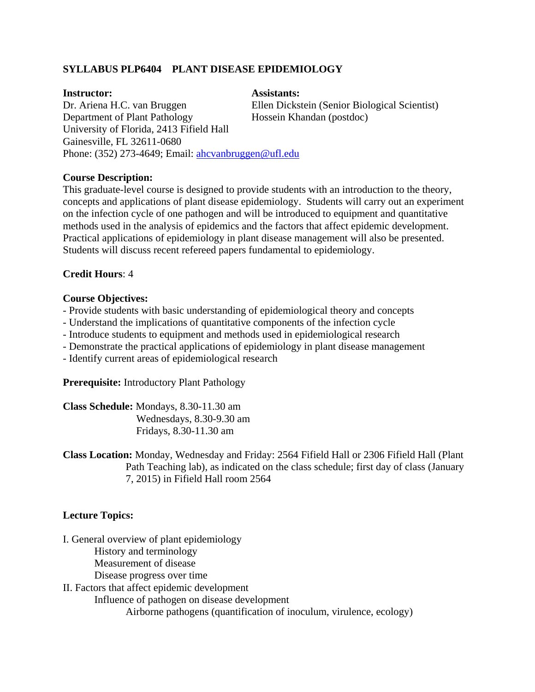# **SYLLABUS PLP6404 PLANT DISEASE EPIDEMIOLOGY**

### **Instructor: Assistants:**

Dr. Ariena H.C. van Bruggen Ellen Dickstein (Senior Biological Scientist)

Department of Plant Pathology Hossein Khandan (postdoc) University of Florida, 2413 Fifield Hall Gainesville, FL 32611-0680 Phone: (352) 273-4649; Email: ahcvanbruggen@ufl.edu

# **Course Description:**

This graduate-level course is designed to provide students with an introduction to the theory, concepts and applications of plant disease epidemiology. Students will carry out an experiment on the infection cycle of one pathogen and will be introduced to equipment and quantitative methods used in the analysis of epidemics and the factors that affect epidemic development. Practical applications of epidemiology in plant disease management will also be presented. Students will discuss recent refereed papers fundamental to epidemiology.

# **Credit Hours**: 4

# **Course Objectives:**

- Provide students with basic understanding of epidemiological theory and concepts
- Understand the implications of quantitative components of the infection cycle
- Introduce students to equipment and methods used in epidemiological research
- Demonstrate the practical applications of epidemiology in plant disease management
- Identify current areas of epidemiological research

**Prerequisite:** Introductory Plant Pathology

| Class Schedule: Mondays, 8.30-11.30 am |
|----------------------------------------|
| Wednesdays, 8.30-9.30 am               |
| Fridays, 8.30-11.30 am                 |

**Class Location:** Monday, Wednesday and Friday: 2564 Fifield Hall or 2306 Fifield Hall (Plant Path Teaching lab), as indicated on the class schedule; first day of class (January 7, 2015) in Fifield Hall room 2564

# **Lecture Topics:**

I. General overview of plant epidemiology

History and terminology

Measurement of disease

Disease progress over time

II. Factors that affect epidemic development Influence of pathogen on disease development Airborne pathogens (quantification of inoculum, virulence, ecology)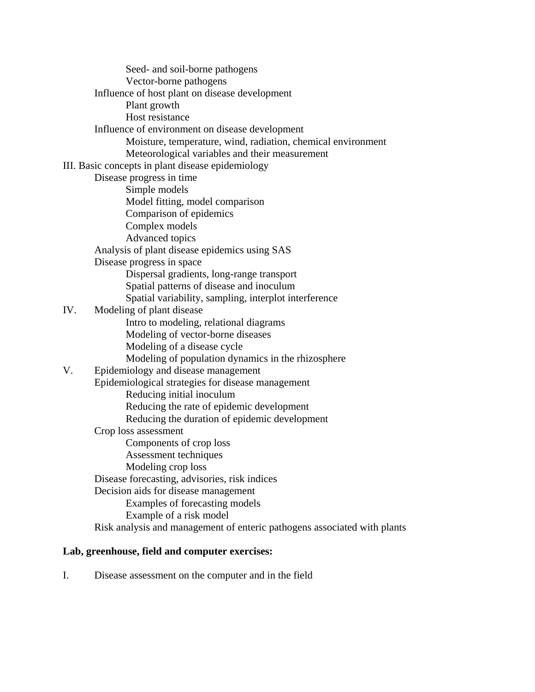Seed- and soil-borne pathogens Vector-borne pathogens Influence of host plant on disease development Plant growth Host resistance Influence of environment on disease development Moisture, temperature, wind, radiation, chemical environment Meteorological variables and their measurement III. Basic concepts in plant disease epidemiology Disease progress in time Simple models Model fitting, model comparison Comparison of epidemics Complex models Advanced topics Analysis of plant disease epidemics using SAS Disease progress in space Dispersal gradients, long-range transport Spatial patterns of disease and inoculum Spatial variability, sampling, interplot interference IV. Modeling of plant disease Intro to modeling, relational diagrams Modeling of vector-borne diseases Modeling of a disease cycle Modeling of population dynamics in the rhizosphere V. Epidemiology and disease management Epidemiological strategies for disease management Reducing initial inoculum Reducing the rate of epidemic development Reducing the duration of epidemic development Crop loss assessment Components of crop loss Assessment techniques Modeling crop loss Disease forecasting, advisories, risk indices Decision aids for disease management Examples of forecasting models Example of a risk model Risk analysis and management of enteric pathogens associated with plants **Lab, greenhouse, field and computer exercises:** 

# I. Disease assessment on the computer and in the field